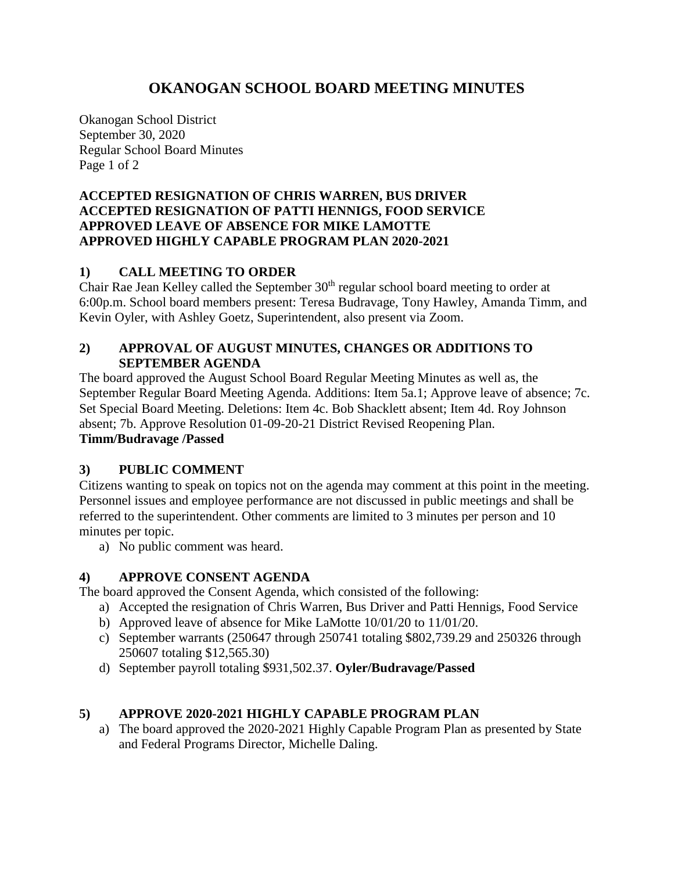# **OKANOGAN SCHOOL BOARD MEETING MINUTES**

Okanogan School District September 30, 2020 Regular School Board Minutes Page 1 of 2

#### **ACCEPTED RESIGNATION OF CHRIS WARREN, BUS DRIVER ACCEPTED RESIGNATION OF PATTI HENNIGS, FOOD SERVICE APPROVED LEAVE OF ABSENCE FOR MIKE LAMOTTE APPROVED HIGHLY CAPABLE PROGRAM PLAN 2020-2021**

# **1) CALL MEETING TO ORDER**

Chair Rae Jean Kelley called the September  $30<sup>th</sup>$  regular school board meeting to order at 6:00p.m. School board members present: Teresa Budravage, Tony Hawley, Amanda Timm, and Kevin Oyler, with Ashley Goetz, Superintendent, also present via Zoom.

# **2) APPROVAL OF AUGUST MINUTES, CHANGES OR ADDITIONS TO SEPTEMBER AGENDA**

The board approved the August School Board Regular Meeting Minutes as well as, the September Regular Board Meeting Agenda. Additions: Item 5a.1; Approve leave of absence; 7c. Set Special Board Meeting. Deletions: Item 4c. Bob Shacklett absent; Item 4d. Roy Johnson absent; 7b. Approve Resolution 01-09-20-21 District Revised Reopening Plan. **Timm/Budravage /Passed**

# **3) PUBLIC COMMENT**

Citizens wanting to speak on topics not on the agenda may comment at this point in the meeting. Personnel issues and employee performance are not discussed in public meetings and shall be referred to the superintendent. Other comments are limited to 3 minutes per person and 10 minutes per topic.

a) No public comment was heard.

### **4) APPROVE CONSENT AGENDA**

The board approved the Consent Agenda, which consisted of the following:

- a) Accepted the resignation of Chris Warren, Bus Driver and Patti Hennigs, Food Service
- b) Approved leave of absence for Mike LaMotte 10/01/20 to 11/01/20.
- c) September warrants (250647 through 250741 totaling \$802,739.29 and 250326 through 250607 totaling \$12,565.30)
- d) September payroll totaling \$931,502.37. **Oyler/Budravage/Passed**

### **5) APPROVE 2020-2021 HIGHLY CAPABLE PROGRAM PLAN**

a) The board approved the 2020-2021 Highly Capable Program Plan as presented by State and Federal Programs Director, Michelle Daling.